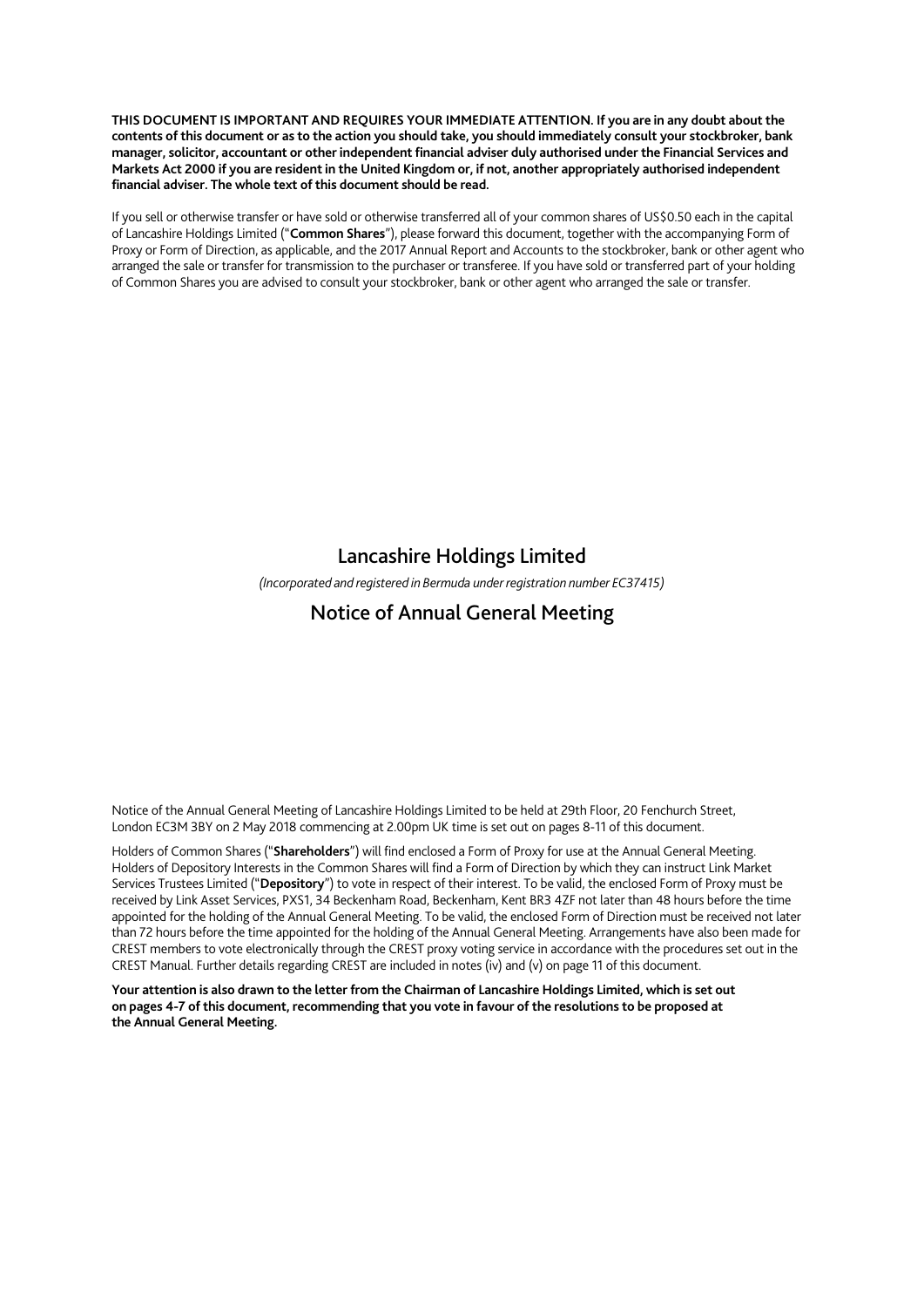**THIS DOCUMENT IS IMPORTANT AND REQUIRES YOUR IMMEDIATE ATTENTION. If you are in any doubt about the contents of this document or as to the action you should take, you should immediately consult your stockbroker, bank manager, solicitor, accountant or other independent financial adviser duly authorised under the Financial Services and Markets Act 2000 if you are resident in the United Kingdom or, if not, another appropriately authorised independent financial adviser. The whole text of this document should be read.** 

If you sell or otherwise transfer or have sold or otherwise transferred all of your common shares of US\$0.50 each in the capital of Lancashire Holdings Limited ("**Common Shares**"), please forward this document, together with the accompanying Form of Proxy or Form of Direction, as applicable, and the 2017 Annual Report and Accounts to the stockbroker, bank or other agent who arranged the sale or transfer for transmission to the purchaser or transferee. If you have sold or transferred part of your holding of Common Shares you are advised to consult your stockbroker, bank or other agent who arranged the sale or transfer.

## Lancashire Holdings Limited

*(Incorporated and registered in Bermuda under registration number EC37415)* 

# Notice of Annual General Meeting

Notice of the Annual General Meeting of Lancashire Holdings Limited to be held at 29th Floor, 20 Fenchurch Street, London EC3M 3BY on 2 May 2018 commencing at 2.00pm UK time is set out on pages 8-11 of this document.

Holders of Common Shares ("**Shareholders**") will find enclosed a Form of Proxy for use at the Annual General Meeting. Holders of Depository Interests in the Common Shares will find a Form of Direction by which they can instruct Link Market Services Trustees Limited ("**Depository**") to vote in respect of their interest. To be valid, the enclosed Form of Proxy must be received by Link Asset Services, PXS1, 34 Beckenham Road, Beckenham, Kent BR3 4ZF not later than 48 hours before the time appointed for the holding of the Annual General Meeting. To be valid, the enclosed Form of Direction must be received not later than 72 hours before the time appointed for the holding of the Annual General Meeting. Arrangements have also been made for CREST members to vote electronically through the CREST proxy voting service in accordance with the procedures set out in the CREST Manual. Further details regarding CREST are included in notes (iv) and (v) on page 11 of this document.

**Your attention is also drawn to the letter from the Chairman of Lancashire Holdings Limited, which is set out on pages 4-7 of this document, recommending that you vote in favour of the resolutions to be proposed at the Annual General Meeting.**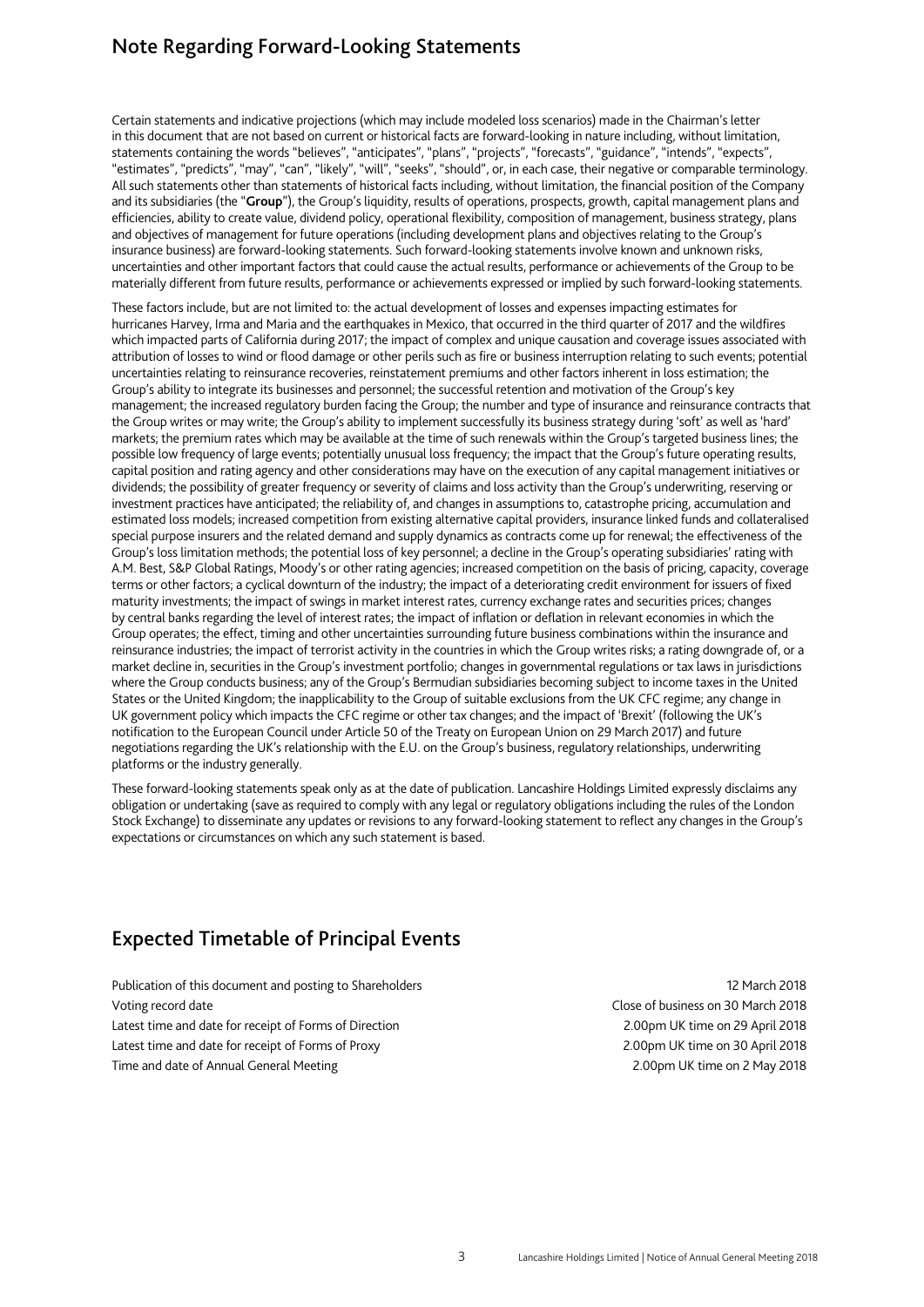# Note Regarding Forward-Looking Statements

Certain statements and indicative projections (which may include modeled loss scenarios) made in the Chairman's letter in this document that are not based on current or historical facts are forward-looking in nature including, without limitation, statements containing the words "believes", "anticipates", "plans", "projects", "forecasts", "guidance", "intends", "expects", "estimates", "predicts", "may", "can", "likely", "will", "seeks", "should", or, in each case, their negative or comparable terminology. All such statements other than statements of historical facts including, without limitation, the financial position of the Company and its subsidiaries (the "**Group**"), the Group's liquidity, results of operations, prospects, growth, capital management plans and efficiencies, ability to create value, dividend policy, operational flexibility, composition of management, business strategy, plans and objectives of management for future operations (including development plans and objectives relating to the Group's insurance business) are forward-looking statements. Such forward-looking statements involve known and unknown risks, uncertainties and other important factors that could cause the actual results, performance or achievements of the Group to be materially different from future results, performance or achievements expressed or implied by such forward-looking statements.

These factors include, but are not limited to: the actual development of losses and expenses impacting estimates for hurricanes Harvey, Irma and Maria and the earthquakes in Mexico, that occurred in the third quarter of 2017 and the wildfires which impacted parts of California during 2017; the impact of complex and unique causation and coverage issues associated with attribution of losses to wind or flood damage or other perils such as fire or business interruption relating to such events; potential uncertainties relating to reinsurance recoveries, reinstatement premiums and other factors inherent in loss estimation; the Group's ability to integrate its businesses and personnel; the successful retention and motivation of the Group's key management; the increased regulatory burden facing the Group; the number and type of insurance and reinsurance contracts that the Group writes or may write; the Group's ability to implement successfully its business strategy during 'soft' as well as 'hard' markets; the premium rates which may be available at the time of such renewals within the Group's targeted business lines; the possible low frequency of large events; potentially unusual loss frequency; the impact that the Group's future operating results, capital position and rating agency and other considerations may have on the execution of any capital management initiatives or dividends; the possibility of greater frequency or severity of claims and loss activity than the Group's underwriting, reserving or investment practices have anticipated; the reliability of, and changes in assumptions to, catastrophe pricing, accumulation and estimated loss models; increased competition from existing alternative capital providers, insurance linked funds and collateralised special purpose insurers and the related demand and supply dynamics as contracts come up for renewal; the effectiveness of the Group's loss limitation methods; the potential loss of key personnel; a decline in the Group's operating subsidiaries' rating with A.M. Best, S&P Global Ratings, Moody's or other rating agencies; increased competition on the basis of pricing, capacity, coverage terms or other factors; a cyclical downturn of the industry; the impact of a deteriorating credit environment for issuers of fixed maturity investments; the impact of swings in market interest rates, currency exchange rates and securities prices; changes by central banks regarding the level of interest rates; the impact of inflation or deflation in relevant economies in which the Group operates; the effect, timing and other uncertainties surrounding future business combinations within the insurance and reinsurance industries; the impact of terrorist activity in the countries in which the Group writes risks; a rating downgrade of, or a market decline in, securities in the Group's investment portfolio; changes in governmental regulations or tax laws in jurisdictions where the Group conducts business; any of the Group's Bermudian subsidiaries becoming subject to income taxes in the United States or the United Kingdom; the inapplicability to the Group of suitable exclusions from the UK CFC regime; any change in UK government policy which impacts the CFC regime or other tax changes; and the impact of 'Brexit' (following the UK's notification to the European Council under Article 50 of the Treaty on European Union on 29 March 2017) and future negotiations regarding the UK's relationship with the E.U. on the Group's business, regulatory relationships, underwriting platforms or the industry generally.

These forward-looking statements speak only as at the date of publication. Lancashire Holdings Limited expressly disclaims any obligation or undertaking (save as required to comply with any legal or regulatory obligations including the rules of the London Stock Exchange) to disseminate any updates or revisions to any forward-looking statement to reflect any changes in the Group's expectations or circumstances on which any such statement is based.

## Expected Timetable of Principal Events

Publication of this document and posting to Shareholders 12 March 2018 12 March 2018 Voting record date Close of business on 30 March 2018 Latest time and date for receipt of Forms of Direction 2.00pm UK time on 29 April 2018 Latest time and date for receipt of Forms of Proxy 2.00pm UK time on 30 April 2018 Time and date of Annual General Meeting 2.00pm UK time on 2 May 2018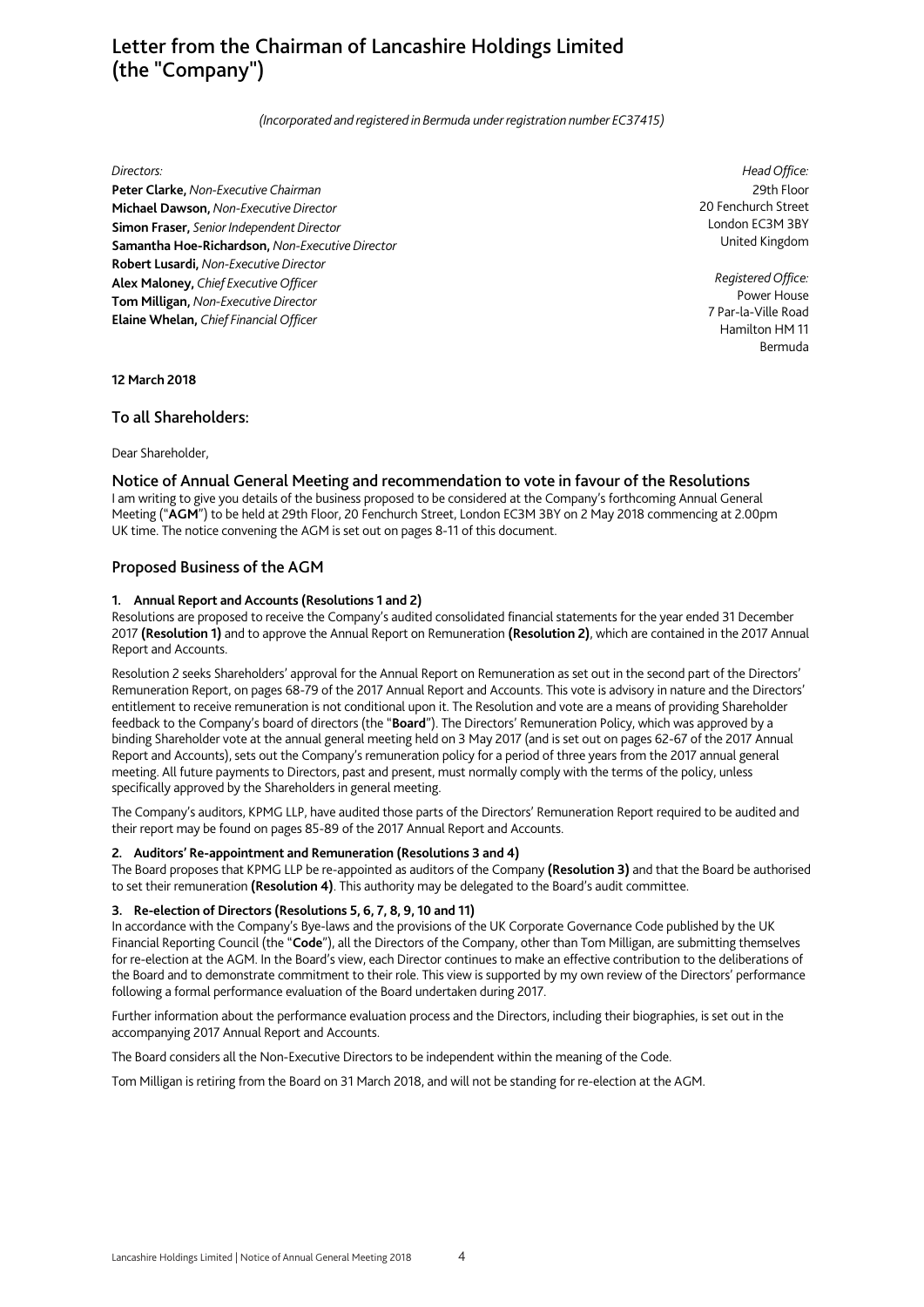# Letter from the Chairman of Lancashire Holdings Limited (the "Company")

*(Incorporated and registered in Bermuda under registration number EC37415)* 

#### *Directors:*

**Peter Clarke,** *Non-Executive Chairman*  **Michael Dawson,** *Non-Executive Director*  **Simon Fraser,** *Senior Independent Director*  **Samantha Hoe-Richardson,** *Non-Executive Director*  **Robert Lusardi,** *Non-Executive Director*  **Alex Maloney,** *Chief Executive Officer*  **Tom Milligan,** *Non-Executive Director*  **Elaine Whelan,** *Chief Financial Officer*

*Head Office:* 29th Floor 20 Fenchurch Street London EC3M 3BY United Kingdom

*Registered Office:* Power House 7 Par-la-Ville Road Hamilton HM 11 Bermuda

**12 March 2018** 

## To all Shareholders:

Dear Shareholder,

## Notice of Annual General Meeting and recommendation to vote in favour of the Resolutions

I am writing to give you details of the business proposed to be considered at the Company's forthcoming Annual General Meeting ("**AGM**") to be held at 29th Floor, 20 Fenchurch Street, London EC3M 3BY on 2 May 2018 commencing at 2.00pm UK time. The notice convening the AGM is set out on pages 8-11 of this document.

## Proposed Business of the AGM

## **1. Annual Report and Accounts (Resolutions 1 and 2)**

Resolutions are proposed to receive the Company's audited consolidated financial statements for the year ended 31 December 2017 **(Resolution 1)** and to approve the Annual Report on Remuneration **(Resolution 2)**, which are contained in the 2017 Annual Report and Accounts.

Resolution 2 seeks Shareholders' approval for the Annual Report on Remuneration as set out in the second part of the Directors' Remuneration Report, on pages 68-79 of the 2017 Annual Report and Accounts. This vote is advisory in nature and the Directors' entitlement to receive remuneration is not conditional upon it. The Resolution and vote are a means of providing Shareholder feedback to the Company's board of directors (the "**Board**"). The Directors' Remuneration Policy, which was approved by a binding Shareholder vote at the annual general meeting held on 3 May 2017 (and is set out on pages 62-67 of the 2017 Annual Report and Accounts), sets out the Company's remuneration policy for a period of three years from the 2017 annual general meeting. All future payments to Directors, past and present, must normally comply with the terms of the policy, unless specifically approved by the Shareholders in general meeting.

The Company's auditors, KPMG LLP, have audited those parts of the Directors' Remuneration Report required to be audited and their report may be found on pages 85-89 of the 2017 Annual Report and Accounts.

#### **2. Auditors' Re-appointment and Remuneration (Resolutions 3 and 4)**

The Board proposes that KPMG LLP be re-appointed as auditors of the Company **(Resolution 3)** and that the Board be authorised to set their remuneration **(Resolution 4)**. This authority may be delegated to the Board's audit committee.

#### **3. Re-election of Directors (Resolutions 5, 6, 7, 8, 9, 10 and 11)**

In accordance with the Company's Bye-laws and the provisions of the UK Corporate Governance Code published by the UK Financial Reporting Council (the "**Code**"), all the Directors of the Company, other than Tom Milligan, are submitting themselves for re-election at the AGM. In the Board's view, each Director continues to make an effective contribution to the deliberations of the Board and to demonstrate commitment to their role. This view is supported by my own review of the Directors' performance following a formal performance evaluation of the Board undertaken during 2017.

Further information about the performance evaluation process and the Directors, including their biographies, is set out in the accompanying 2017 Annual Report and Accounts.

The Board considers all the Non-Executive Directors to be independent within the meaning of the Code.

Tom Milligan is retiring from the Board on 31 March 2018, and will not be standing for re-election at the AGM.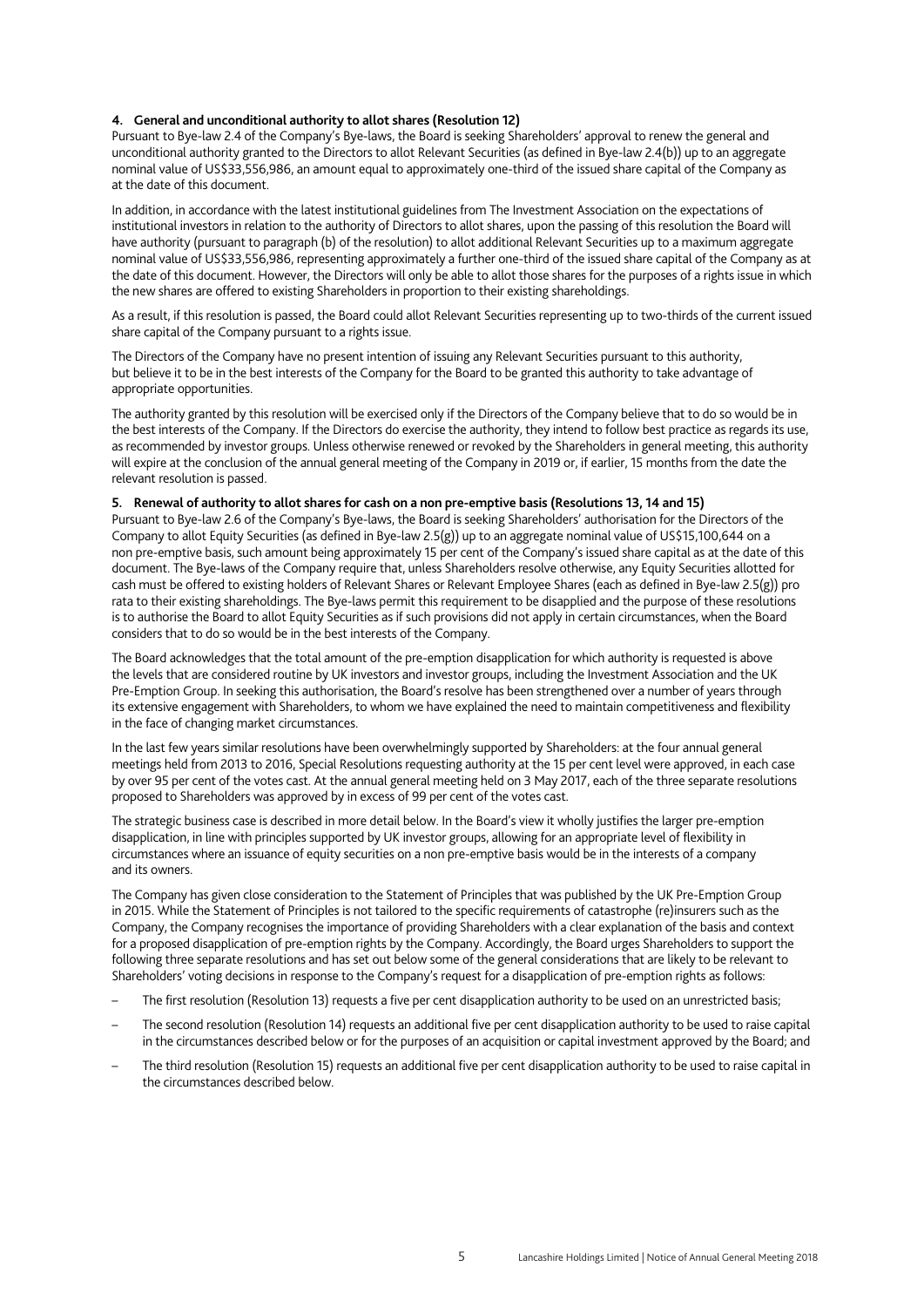## **4. General and unconditional authority to allot shares (Resolution 12)**

Pursuant to Bye-law 2.4 of the Company's Bye-laws, the Board is seeking Shareholders' approval to renew the general and unconditional authority granted to the Directors to allot Relevant Securities (as defined in Bye-law 2.4(b)) up to an aggregate nominal value of US\$33,556,986, an amount equal to approximately one-third of the issued share capital of the Company as at the date of this document.

In addition, in accordance with the latest institutional guidelines from The Investment Association on the expectations of institutional investors in relation to the authority of Directors to allot shares, upon the passing of this resolution the Board will have authority (pursuant to paragraph (b) of the resolution) to allot additional Relevant Securities up to a maximum aggregate nominal value of US\$33,556,986, representing approximately a further one-third of the issued share capital of the Company as at the date of this document. However, the Directors will only be able to allot those shares for the purposes of a rights issue in which the new shares are offered to existing Shareholders in proportion to their existing shareholdings.

As a result, if this resolution is passed, the Board could allot Relevant Securities representing up to two-thirds of the current issued share capital of the Company pursuant to a rights issue.

The Directors of the Company have no present intention of issuing any Relevant Securities pursuant to this authority, but believe it to be in the best interests of the Company for the Board to be granted this authority to take advantage of appropriate opportunities.

The authority granted by this resolution will be exercised only if the Directors of the Company believe that to do so would be in the best interests of the Company. If the Directors do exercise the authority, they intend to follow best practice as regards its use, as recommended by investor groups. Unless otherwise renewed or revoked by the Shareholders in general meeting, this authority will expire at the conclusion of the annual general meeting of the Company in 2019 or, if earlier, 15 months from the date the relevant resolution is passed.

#### **5. Renewal of authority to allot shares for cash on a non pre-emptive basis (Resolutions 13, 14 and 15)**

Pursuant to Bye-law 2.6 of the Company's Bye-laws, the Board is seeking Shareholders' authorisation for the Directors of the Company to allot Equity Securities (as defined in Bye-law 2.5(g)) up to an aggregate nominal value of US\$15,100,644 on a non pre-emptive basis, such amount being approximately 15 per cent of the Company's issued share capital as at the date of this document. The Bye-laws of the Company require that, unless Shareholders resolve otherwise, any Equity Securities allotted for cash must be offered to existing holders of Relevant Shares or Relevant Employee Shares (each as defined in Bye-law 2.5(g)) pro rata to their existing shareholdings. The Bye-laws permit this requirement to be disapplied and the purpose of these resolutions is to authorise the Board to allot Equity Securities as if such provisions did not apply in certain circumstances, when the Board considers that to do so would be in the best interests of the Company.

The Board acknowledges that the total amount of the pre-emption disapplication for which authority is requested is above the levels that are considered routine by UK investors and investor groups, including the Investment Association and the UK Pre-Emption Group. In seeking this authorisation, the Board's resolve has been strengthened over a number of years through its extensive engagement with Shareholders, to whom we have explained the need to maintain competitiveness and flexibility in the face of changing market circumstances.

In the last few years similar resolutions have been overwhelmingly supported by Shareholders: at the four annual general meetings held from 2013 to 2016, Special Resolutions requesting authority at the 15 per cent level were approved, in each case by over 95 per cent of the votes cast. At the annual general meeting held on 3 May 2017, each of the three separate resolutions proposed to Shareholders was approved by in excess of 99 per cent of the votes cast.

The strategic business case is described in more detail below. In the Board's view it wholly justifies the larger pre-emption disapplication, in line with principles supported by UK investor groups, allowing for an appropriate level of flexibility in circumstances where an issuance of equity securities on a non pre-emptive basis would be in the interests of a company and its owners.

The Company has given close consideration to the Statement of Principles that was published by the UK Pre-Emption Group in 2015. While the Statement of Principles is not tailored to the specific requirements of catastrophe (re)insurers such as the Company, the Company recognises the importance of providing Shareholders with a clear explanation of the basis and context for a proposed disapplication of pre-emption rights by the Company. Accordingly, the Board urges Shareholders to support the following three separate resolutions and has set out below some of the general considerations that are likely to be relevant to Shareholders' voting decisions in response to the Company's request for a disapplication of pre-emption rights as follows:

- The first resolution (Resolution 13) requests a five per cent disapplication authority to be used on an unrestricted basis;
- The second resolution (Resolution 14) requests an additional five per cent disapplication authority to be used to raise capital in the circumstances described below or for the purposes of an acquisition or capital investment approved by the Board; and
- The third resolution (Resolution 15) requests an additional five per cent disapplication authority to be used to raise capital in the circumstances described below.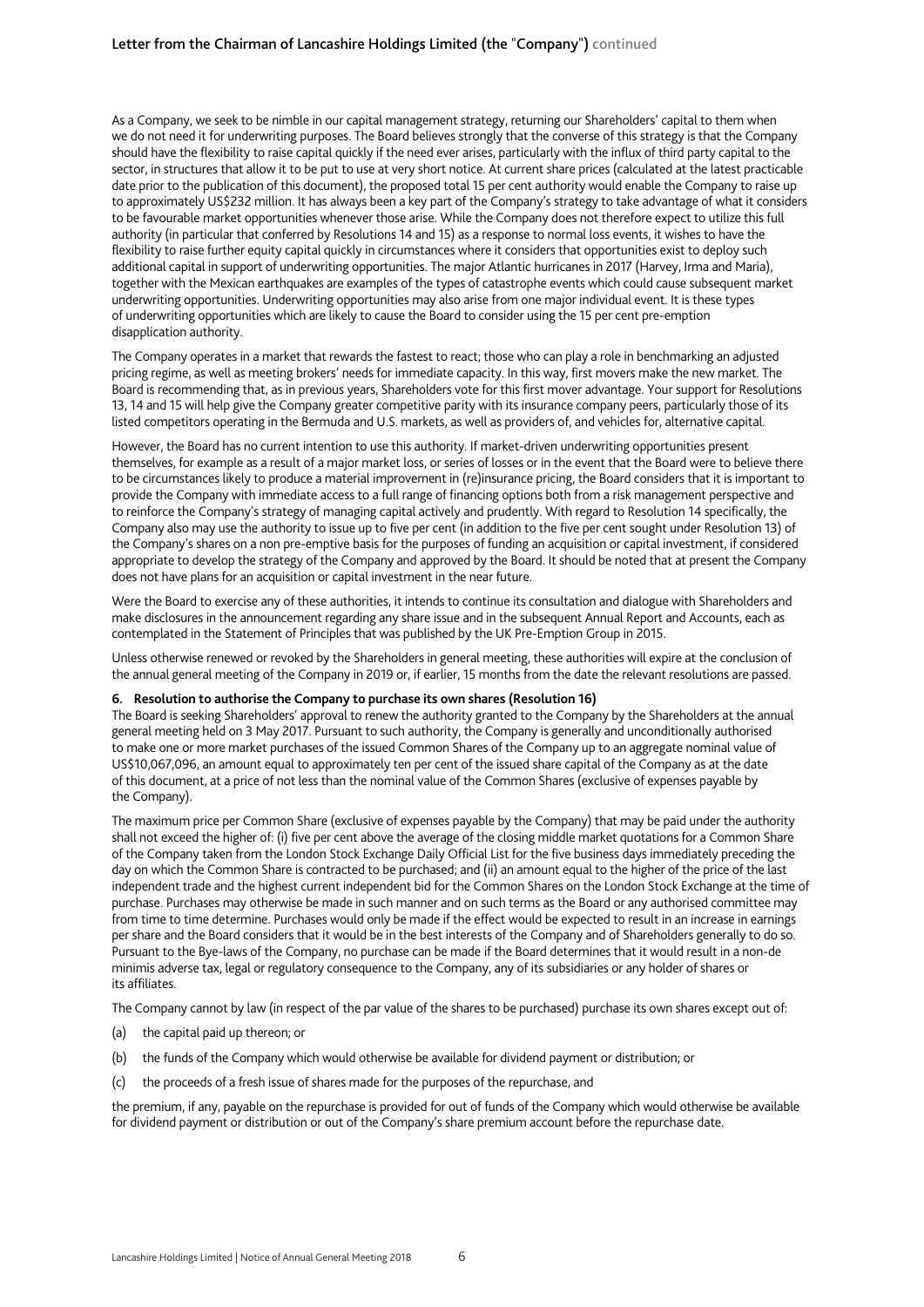As a Company, we seek to be nimble in our capital management strategy, returning our Shareholders' capital to them when we do not need it for underwriting purposes. The Board believes strongly that the converse of this strategy is that the Company should have the flexibility to raise capital quickly if the need ever arises, particularly with the influx of third party capital to the sector, in structures that allow it to be put to use at very short notice. At current share prices (calculated at the latest practicable date prior to the publication of this document), the proposed total 15 per cent authority would enable the Company to raise up to approximately US\$232 million. It has always been a key part of the Company's strategy to take advantage of what it considers to be favourable market opportunities whenever those arise. While the Company does not therefore expect to utilize this full authority (in particular that conferred by Resolutions 14 and 15) as a response to normal loss events, it wishes to have the flexibility to raise further equity capital quickly in circumstances where it considers that opportunities exist to deploy such additional capital in support of underwriting opportunities. The major Atlantic hurricanes in 2017 (Harvey, Irma and Maria), together with the Mexican earthquakes are examples of the types of catastrophe events which could cause subsequent market underwriting opportunities. Underwriting opportunities may also arise from one major individual event. It is these types of underwriting opportunities which are likely to cause the Board to consider using the 15 per cent pre-emption disapplication authority.

The Company operates in a market that rewards the fastest to react; those who can play a role in benchmarking an adjusted pricing regime, as well as meeting brokers' needs for immediate capacity. In this way, first movers make the new market. The Board is recommending that, as in previous years, Shareholders vote for this first mover advantage. Your support for Resolutions 13, 14 and 15 will help give the Company greater competitive parity with its insurance company peers, particularly those of its listed competitors operating in the Bermuda and U.S. markets, as well as providers of, and vehicles for, alternative capital.

However, the Board has no current intention to use this authority. If market-driven underwriting opportunities present themselves, for example as a result of a major market loss, or series of losses or in the event that the Board were to believe there to be circumstances likely to produce a material improvement in (re)insurance pricing, the Board considers that it is important to provide the Company with immediate access to a full range of financing options both from a risk management perspective and to reinforce the Company's strategy of managing capital actively and prudently. With regard to Resolution 14 specifically, the Company also may use the authority to issue up to five per cent (in addition to the five per cent sought under Resolution 13) of the Company's shares on a non pre-emptive basis for the purposes of funding an acquisition or capital investment, if considered appropriate to develop the strategy of the Company and approved by the Board. It should be noted that at present the Company does not have plans for an acquisition or capital investment in the near future.

Were the Board to exercise any of these authorities, it intends to continue its consultation and dialogue with Shareholders and make disclosures in the announcement regarding any share issue and in the subsequent Annual Report and Accounts, each as contemplated in the Statement of Principles that was published by the UK Pre-Emption Group in 2015.

Unless otherwise renewed or revoked by the Shareholders in general meeting, these authorities will expire at the conclusion of the annual general meeting of the Company in 2019 or, if earlier, 15 months from the date the relevant resolutions are passed.

## **6. Resolution to authorise the Company to purchase its own shares (Resolution 16)**

The Board is seeking Shareholders' approval to renew the authority granted to the Company by the Shareholders at the annual general meeting held on 3 May 2017. Pursuant to such authority, the Company is generally and unconditionally authorised to make one or more market purchases of the issued Common Shares of the Company up to an aggregate nominal value of US\$10,067,096, an amount equal to approximately ten per cent of the issued share capital of the Company as at the date of this document, at a price of not less than the nominal value of the Common Shares (exclusive of expenses payable by the Company).

The maximum price per Common Share (exclusive of expenses payable by the Company) that may be paid under the authority shall not exceed the higher of: (i) five per cent above the average of the closing middle market quotations for a Common Share of the Company taken from the London Stock Exchange Daily Official List for the five business days immediately preceding the day on which the Common Share is contracted to be purchased; and (ii) an amount equal to the higher of the price of the last independent trade and the highest current independent bid for the Common Shares on the London Stock Exchange at the time of purchase. Purchases may otherwise be made in such manner and on such terms as the Board or any authorised committee may from time to time determine. Purchases would only be made if the effect would be expected to result in an increase in earnings per share and the Board considers that it would be in the best interests of the Company and of Shareholders generally to do so. Pursuant to the Bye-laws of the Company, no purchase can be made if the Board determines that it would result in a non-de minimis adverse tax, legal or regulatory consequence to the Company, any of its subsidiaries or any holder of shares or its affiliates.

The Company cannot by law (in respect of the par value of the shares to be purchased) purchase its own shares except out of:

- (a) the capital paid up thereon; or
- (b) the funds of the Company which would otherwise be available for dividend payment or distribution; or
- (c) the proceeds of a fresh issue of shares made for the purposes of the repurchase, and

the premium, if any, payable on the repurchase is provided for out of funds of the Company which would otherwise be available for dividend payment or distribution or out of the Company's share premium account before the repurchase date.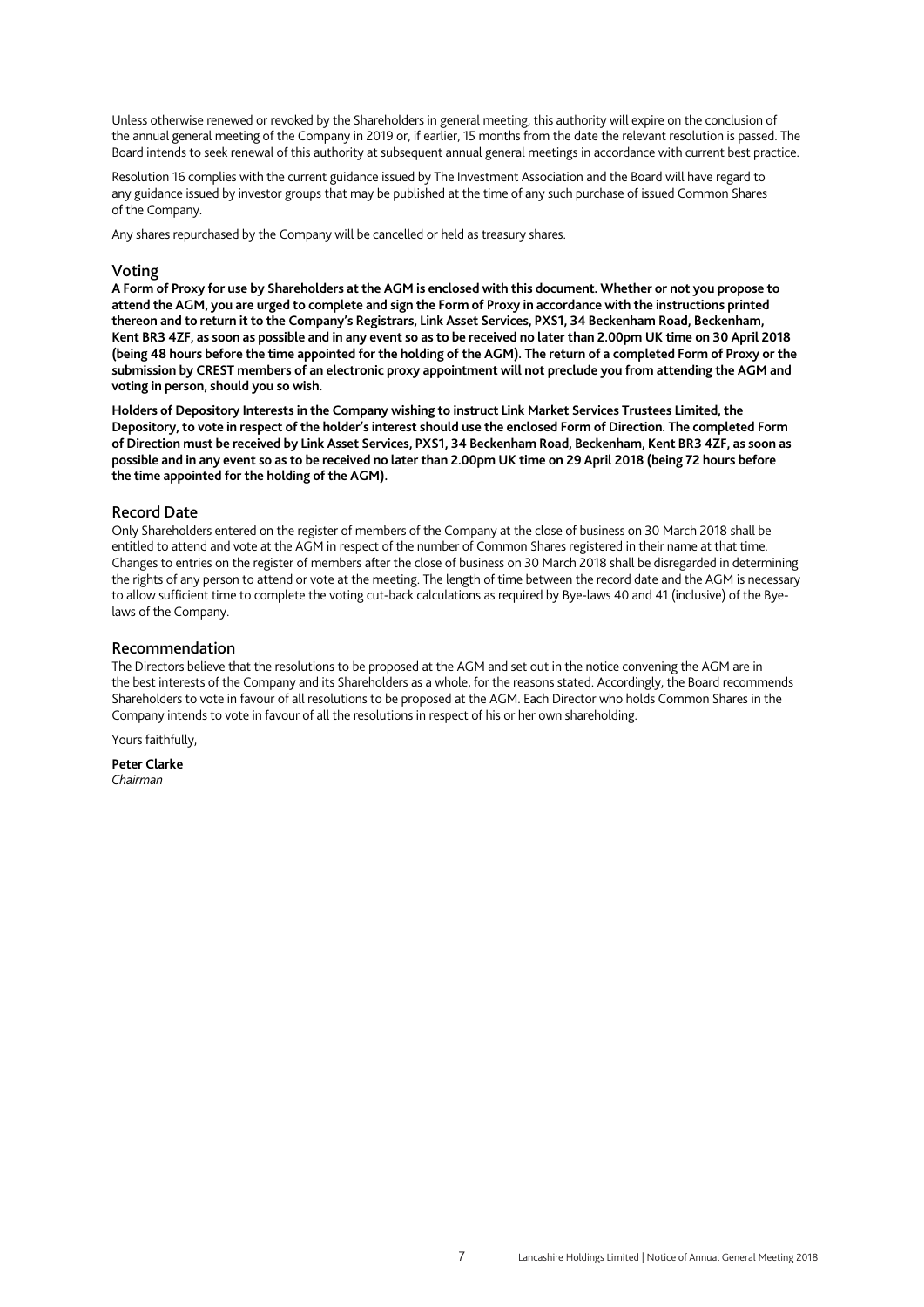Unless otherwise renewed or revoked by the Shareholders in general meeting, this authority will expire on the conclusion of the annual general meeting of the Company in 2019 or, if earlier, 15 months from the date the relevant resolution is passed. The Board intends to seek renewal of this authority at subsequent annual general meetings in accordance with current best practice.

Resolution 16 complies with the current guidance issued by The Investment Association and the Board will have regard to any guidance issued by investor groups that may be published at the time of any such purchase of issued Common Shares of the Company.

Any shares repurchased by the Company will be cancelled or held as treasury shares.

## Voting

**A Form of Proxy for use by Shareholders at the AGM is enclosed with this document. Whether or not you propose to attend the AGM, you are urged to complete and sign the Form of Proxy in accordance with the instructions printed thereon and to return it to the Company's Registrars, Link Asset Services, PXS1, 34 Beckenham Road, Beckenham, Kent BR3 4ZF, as soon as possible and in any event so as to be received no later than 2.00pm UK time on 30 April 2018 (being 48 hours before the time appointed for the holding of the AGM). The return of a completed Form of Proxy or the submission by CREST members of an electronic proxy appointment will not preclude you from attending the AGM and voting in person, should you so wish.** 

**Holders of Depository Interests in the Company wishing to instruct Link Market Services Trustees Limited, the Depository, to vote in respect of the holder's interest should use the enclosed Form of Direction. The completed Form of Direction must be received by Link Asset Services, PXS1, 34 Beckenham Road, Beckenham, Kent BR3 4ZF, as soon as possible and in any event so as to be received no later than 2.00pm UK time on 29 April 2018 (being 72 hours before the time appointed for the holding of the AGM).** 

## Record Date

Only Shareholders entered on the register of members of the Company at the close of business on 30 March 2018 shall be entitled to attend and vote at the AGM in respect of the number of Common Shares registered in their name at that time. Changes to entries on the register of members after the close of business on 30 March 2018 shall be disregarded in determining the rights of any person to attend or vote at the meeting. The length of time between the record date and the AGM is necessary to allow sufficient time to complete the voting cut-back calculations as required by Bye-laws 40 and 41 (inclusive) of the Byelaws of the Company.

## Recommendation

The Directors believe that the resolutions to be proposed at the AGM and set out in the notice convening the AGM are in the best interests of the Company and its Shareholders as a whole, for the reasons stated. Accordingly, the Board recommends Shareholders to vote in favour of all resolutions to be proposed at the AGM. Each Director who holds Common Shares in the Company intends to vote in favour of all the resolutions in respect of his or her own shareholding.

Yours faithfully,

**Peter Clarke**  *Chairman*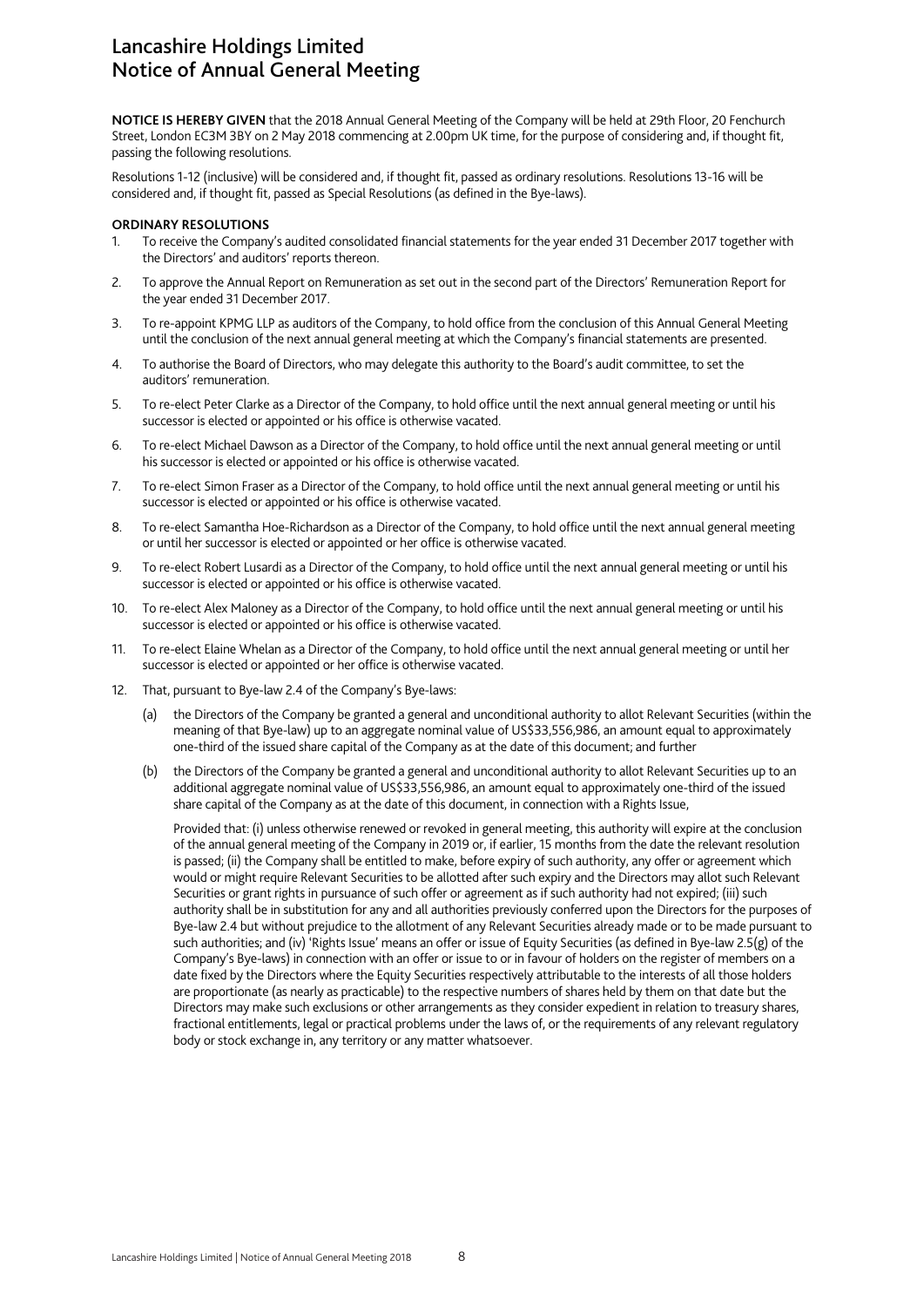## Lancashire Holdings Limited Notice of Annual General Meeting

**NOTICE IS HEREBY GIVEN** that the 2018 Annual General Meeting of the Company will be held at 29th Floor, 20 Fenchurch Street, London EC3M 3BY on 2 May 2018 commencing at 2.00pm UK time, for the purpose of considering and, if thought fit, passing the following resolutions.

Resolutions 1-12 (inclusive) will be considered and, if thought fit, passed as ordinary resolutions. Resolutions 13-16 will be considered and, if thought fit, passed as Special Resolutions (as defined in the Bye-laws).

### **ORDINARY RESOLUTIONS**

- 1. To receive the Company's audited consolidated financial statements for the year ended 31 December 2017 together with the Directors' and auditors' reports thereon.
- 2. To approve the Annual Report on Remuneration as set out in the second part of the Directors' Remuneration Report for the year ended 31 December 2017.
- 3. To re-appoint KPMG LLP as auditors of the Company, to hold office from the conclusion of this Annual General Meeting until the conclusion of the next annual general meeting at which the Company's financial statements are presented.
- 4. To authorise the Board of Directors, who may delegate this authority to the Board's audit committee, to set the auditors' remuneration.
- 5. To re-elect Peter Clarke as a Director of the Company, to hold office until the next annual general meeting or until his successor is elected or appointed or his office is otherwise vacated.
- 6. To re-elect Michael Dawson as a Director of the Company, to hold office until the next annual general meeting or until his successor is elected or appointed or his office is otherwise vacated.
- 7. To re-elect Simon Fraser as a Director of the Company, to hold office until the next annual general meeting or until his successor is elected or appointed or his office is otherwise vacated.
- 8. To re-elect Samantha Hoe-Richardson as a Director of the Company, to hold office until the next annual general meeting or until her successor is elected or appointed or her office is otherwise vacated.
- 9. To re-elect Robert Lusardi as a Director of the Company, to hold office until the next annual general meeting or until his successor is elected or appointed or his office is otherwise vacated.
- 10. To re-elect Alex Maloney as a Director of the Company, to hold office until the next annual general meeting or until his successor is elected or appointed or his office is otherwise vacated.
- 11. To re-elect Elaine Whelan as a Director of the Company, to hold office until the next annual general meeting or until her successor is elected or appointed or her office is otherwise vacated.
- 12. That, pursuant to Bye-law 2.4 of the Company's Bye-laws:
	- (a) the Directors of the Company be granted a general and unconditional authority to allot Relevant Securities (within the meaning of that Bye-law) up to an aggregate nominal value of US\$33,556,986, an amount equal to approximately one-third of the issued share capital of the Company as at the date of this document; and further
	- (b) the Directors of the Company be granted a general and unconditional authority to allot Relevant Securities up to an additional aggregate nominal value of US\$33,556,986, an amount equal to approximately one-third of the issued share capital of the Company as at the date of this document, in connection with a Rights Issue,

Provided that: (i) unless otherwise renewed or revoked in general meeting, this authority will expire at the conclusion of the annual general meeting of the Company in 2019 or, if earlier, 15 months from the date the relevant resolution is passed; (ii) the Company shall be entitled to make, before expiry of such authority, any offer or agreement which would or might require Relevant Securities to be allotted after such expiry and the Directors may allot such Relevant Securities or grant rights in pursuance of such offer or agreement as if such authority had not expired; (iii) such authority shall be in substitution for any and all authorities previously conferred upon the Directors for the purposes of Bye-law 2.4 but without prejudice to the allotment of any Relevant Securities already made or to be made pursuant to such authorities; and (iv) 'Rights Issue' means an offer or issue of Equity Securities (as defined in Bye-law 2.5(g) of the Company's Bye-laws) in connection with an offer or issue to or in favour of holders on the register of members on a date fixed by the Directors where the Equity Securities respectively attributable to the interests of all those holders are proportionate (as nearly as practicable) to the respective numbers of shares held by them on that date but the Directors may make such exclusions or other arrangements as they consider expedient in relation to treasury shares, fractional entitlements, legal or practical problems under the laws of, or the requirements of any relevant regulatory body or stock exchange in, any territory or any matter whatsoever.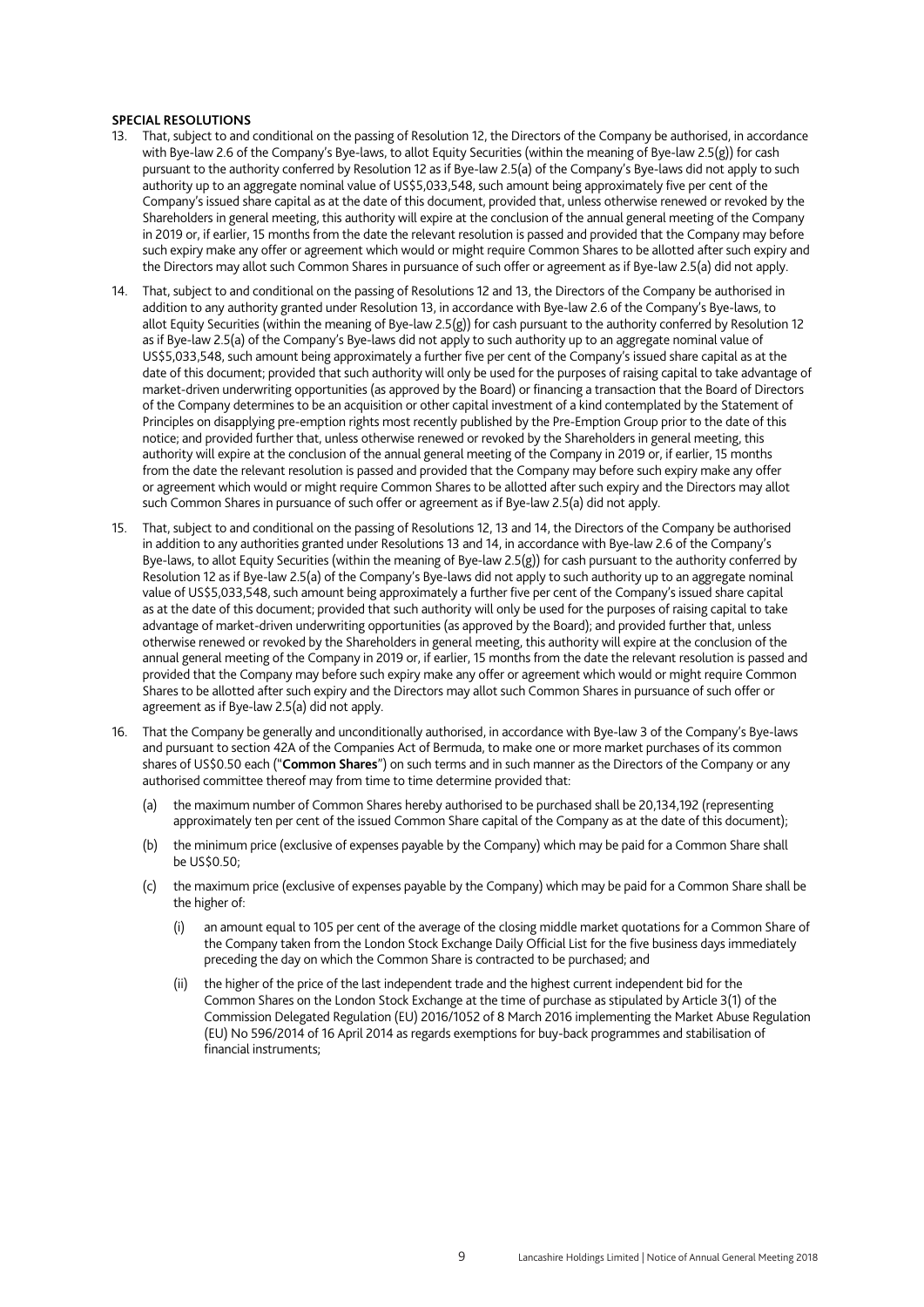#### **SPECIAL RESOLUTIONS**

- 13. That, subject to and conditional on the passing of Resolution 12, the Directors of the Company be authorised, in accordance with Bye-law 2.6 of the Company's Bye-laws, to allot Equity Securities (within the meaning of Bye-law 2.5(g)) for cash pursuant to the authority conferred by Resolution 12 as if Bye-law 2.5(a) of the Company's Bye-laws did not apply to such authority up to an aggregate nominal value of US\$5,033,548, such amount being approximately five per cent of the Company's issued share capital as at the date of this document, provided that, unless otherwise renewed or revoked by the Shareholders in general meeting, this authority will expire at the conclusion of the annual general meeting of the Company in 2019 or, if earlier, 15 months from the date the relevant resolution is passed and provided that the Company may before such expiry make any offer or agreement which would or might require Common Shares to be allotted after such expiry and the Directors may allot such Common Shares in pursuance of such offer or agreement as if Bye-law 2.5(a) did not apply.
- 14. That, subject to and conditional on the passing of Resolutions 12 and 13, the Directors of the Company be authorised in addition to any authority granted under Resolution 13, in accordance with Bye-law 2.6 of the Company's Bye-laws, to allot Equity Securities (within the meaning of Bye-law 2.5(g)) for cash pursuant to the authority conferred by Resolution 12 as if Bye-law 2.5(a) of the Company's Bye-laws did not apply to such authority up to an aggregate nominal value of US\$5,033,548, such amount being approximately a further five per cent of the Company's issued share capital as at the date of this document; provided that such authority will only be used for the purposes of raising capital to take advantage of market-driven underwriting opportunities (as approved by the Board) or financing a transaction that the Board of Directors of the Company determines to be an acquisition or other capital investment of a kind contemplated by the Statement of Principles on disapplying pre-emption rights most recently published by the Pre-Emption Group prior to the date of this notice; and provided further that, unless otherwise renewed or revoked by the Shareholders in general meeting, this authority will expire at the conclusion of the annual general meeting of the Company in 2019 or, if earlier, 15 months from the date the relevant resolution is passed and provided that the Company may before such expiry make any offer or agreement which would or might require Common Shares to be allotted after such expiry and the Directors may allot such Common Shares in pursuance of such offer or agreement as if Bye-law 2.5(a) did not apply.
- 15. That, subject to and conditional on the passing of Resolutions 12, 13 and 14, the Directors of the Company be authorised in addition to any authorities granted under Resolutions 13 and 14, in accordance with Bye-law 2.6 of the Company's Bye-laws, to allot Equity Securities (within the meaning of Bye-law 2.5(g)) for cash pursuant to the authority conferred by Resolution 12 as if Bye-law 2.5(a) of the Company's Bye-laws did not apply to such authority up to an aggregate nominal value of US\$5,033,548, such amount being approximately a further five per cent of the Company's issued share capital as at the date of this document; provided that such authority will only be used for the purposes of raising capital to take advantage of market-driven underwriting opportunities (as approved by the Board); and provided further that, unless otherwise renewed or revoked by the Shareholders in general meeting, this authority will expire at the conclusion of the annual general meeting of the Company in 2019 or, if earlier, 15 months from the date the relevant resolution is passed and provided that the Company may before such expiry make any offer or agreement which would or might require Common Shares to be allotted after such expiry and the Directors may allot such Common Shares in pursuance of such offer or agreement as if Bye-law 2.5(a) did not apply.
- 16. That the Company be generally and unconditionally authorised, in accordance with Bye-law 3 of the Company's Bye-laws and pursuant to section 42A of the Companies Act of Bermuda, to make one or more market purchases of its common shares of US\$0.50 each ("**Common Shares**") on such terms and in such manner as the Directors of the Company or any authorised committee thereof may from time to time determine provided that:
	- the maximum number of Common Shares hereby authorised to be purchased shall be 20,134,192 (representing approximately ten per cent of the issued Common Share capital of the Company as at the date of this document);
	- (b) the minimum price (exclusive of expenses payable by the Company) which may be paid for a Common Share shall be US\$0.50;
	- (c) the maximum price (exclusive of expenses payable by the Company) which may be paid for a Common Share shall be the higher of:
		- an amount equal to 105 per cent of the average of the closing middle market quotations for a Common Share of the Company taken from the London Stock Exchange Daily Official List for the five business days immediately preceding the day on which the Common Share is contracted to be purchased; and
		- (ii) the higher of the price of the last independent trade and the highest current independent bid for the Common Shares on the London Stock Exchange at the time of purchase as stipulated by Article 3(1) of the Commission Delegated Regulation (EU) 2016/1052 of 8 March 2016 implementing the Market Abuse Regulation (EU) No 596/2014 of 16 April 2014 as regards exemptions for buy-back programmes and stabilisation of financial instruments;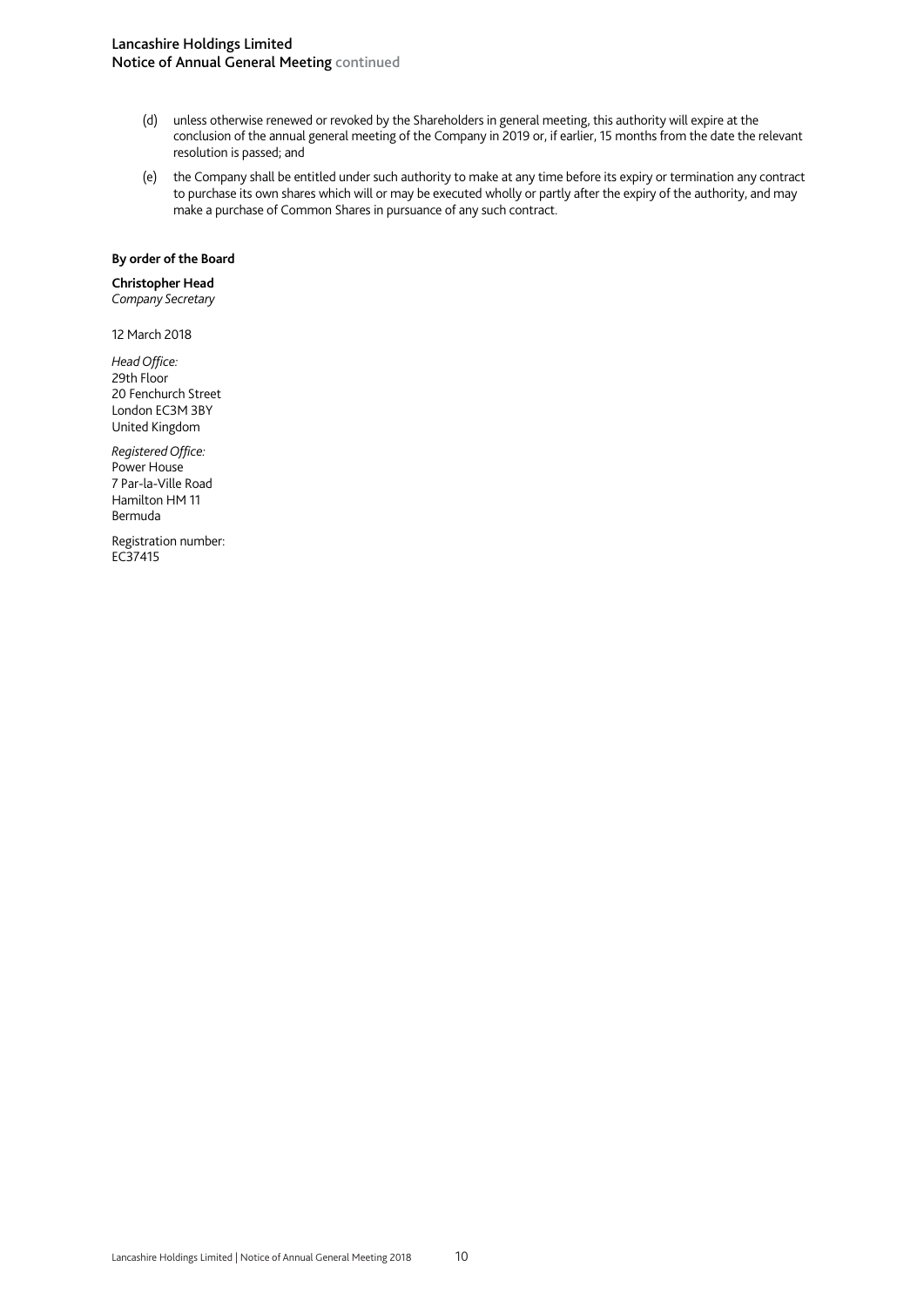## Lancashire Holdings Limited Notice of Annual General Meeting continued

- (d) unless otherwise renewed or revoked by the Shareholders in general meeting, this authority will expire at the conclusion of the annual general meeting of the Company in 2019 or, if earlier, 15 months from the date the relevant resolution is passed; and
- (e) the Company shall be entitled under such authority to make at any time before its expiry or termination any contract to purchase its own shares which will or may be executed wholly or partly after the expiry of the authority, and may make a purchase of Common Shares in pursuance of any such contract.

## **By order of the Board**

## **Christopher Head**

*Company Secretary* 

12 March 2018

*Head Office:*  29th Floor 20 Fenchurch Street London EC3M 3BY United Kingdom

*Registered Office:*  Power House 7 Par-la-Ville Road Hamilton HM 11 Bermuda

Registration number: EC37415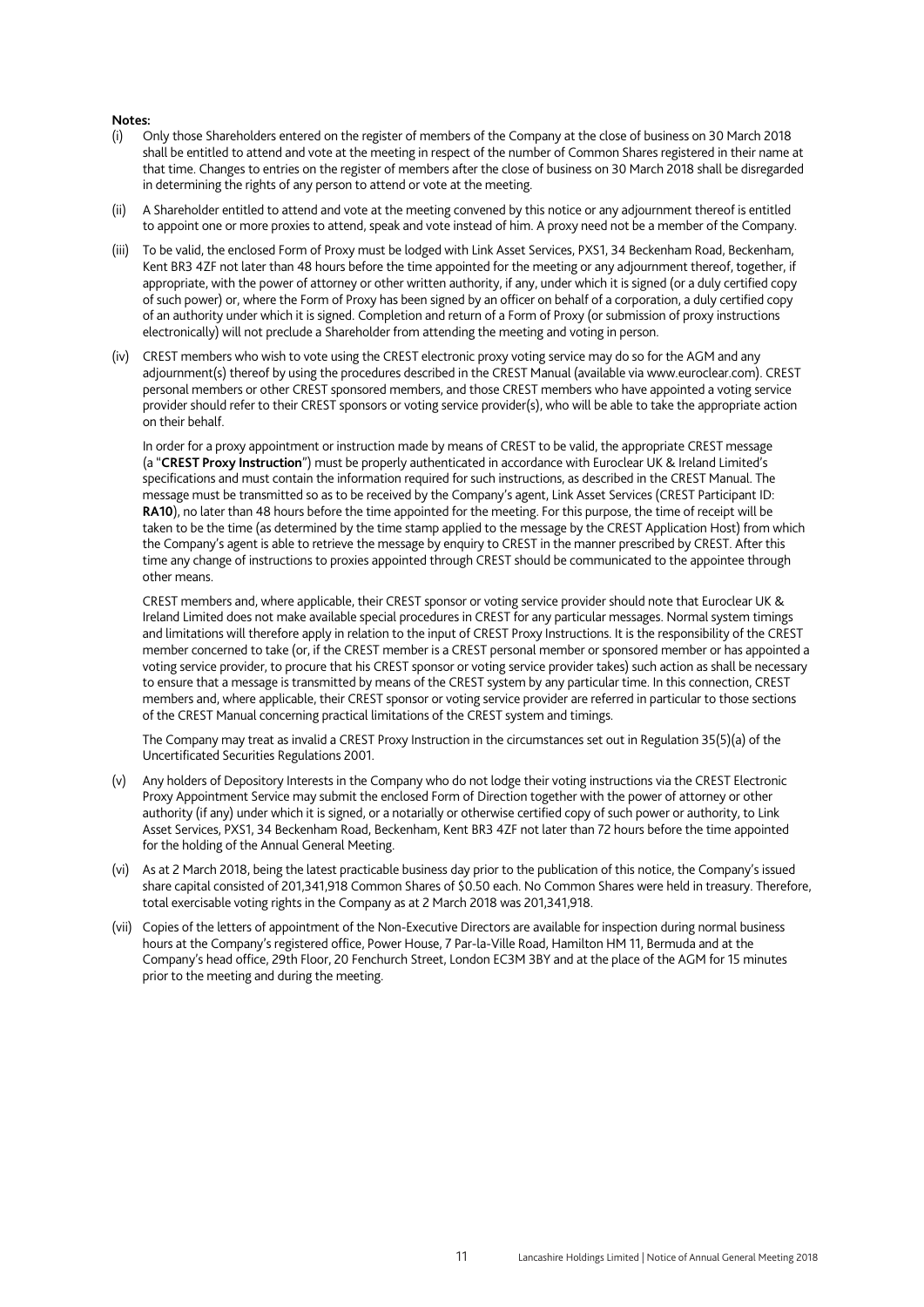#### **Notes:**

- (i) Only those Shareholders entered on the register of members of the Company at the close of business on 30 March 2018 shall be entitled to attend and vote at the meeting in respect of the number of Common Shares registered in their name at that time. Changes to entries on the register of members after the close of business on 30 March 2018 shall be disregarded in determining the rights of any person to attend or vote at the meeting.
- (ii) A Shareholder entitled to attend and vote at the meeting convened by this notice or any adjournment thereof is entitled to appoint one or more proxies to attend, speak and vote instead of him. A proxy need not be a member of the Company.
- (iii) To be valid, the enclosed Form of Proxy must be lodged with Link Asset Services, PXS1, 34 Beckenham Road, Beckenham, Kent BR3 4ZF not later than 48 hours before the time appointed for the meeting or any adjournment thereof, together, if appropriate, with the power of attorney or other written authority, if any, under which it is signed (or a duly certified copy of such power) or, where the Form of Proxy has been signed by an officer on behalf of a corporation, a duly certified copy of an authority under which it is signed. Completion and return of a Form of Proxy (or submission of proxy instructions electronically) will not preclude a Shareholder from attending the meeting and voting in person.
- (iv) CREST members who wish to vote using the CREST electronic proxy voting service may do so for the AGM and any adjournment(s) thereof by using the procedures described in the CREST Manual (available via www.euroclear.com). CREST personal members or other CREST sponsored members, and those CREST members who have appointed a voting service provider should refer to their CREST sponsors or voting service provider(s), who will be able to take the appropriate action on their behalf.

In order for a proxy appointment or instruction made by means of CREST to be valid, the appropriate CREST message (a "**CREST Proxy Instruction**") must be properly authenticated in accordance with Euroclear UK & Ireland Limited's specifications and must contain the information required for such instructions, as described in the CREST Manual. The message must be transmitted so as to be received by the Company's agent, Link Asset Services (CREST Participant ID: **RA10**), no later than 48 hours before the time appointed for the meeting. For this purpose, the time of receipt will be taken to be the time (as determined by the time stamp applied to the message by the CREST Application Host) from which the Company's agent is able to retrieve the message by enquiry to CREST in the manner prescribed by CREST. After this time any change of instructions to proxies appointed through CREST should be communicated to the appointee through other means.

CREST members and, where applicable, their CREST sponsor or voting service provider should note that Euroclear UK & Ireland Limited does not make available special procedures in CREST for any particular messages. Normal system timings and limitations will therefore apply in relation to the input of CREST Proxy Instructions. It is the responsibility of the CREST member concerned to take (or, if the CREST member is a CREST personal member or sponsored member or has appointed a voting service provider, to procure that his CREST sponsor or voting service provider takes) such action as shall be necessary to ensure that a message is transmitted by means of the CREST system by any particular time. In this connection, CREST members and, where applicable, their CREST sponsor or voting service provider are referred in particular to those sections of the CREST Manual concerning practical limitations of the CREST system and timings.

The Company may treat as invalid a CREST Proxy Instruction in the circumstances set out in Regulation 35(5)(a) of the Uncertificated Securities Regulations 2001.

- (v) Any holders of Depository Interests in the Company who do not lodge their voting instructions via the CREST Electronic Proxy Appointment Service may submit the enclosed Form of Direction together with the power of attorney or other authority (if any) under which it is signed, or a notarially or otherwise certified copy of such power or authority, to Link Asset Services, PXS1, 34 Beckenham Road, Beckenham, Kent BR3 4ZF not later than 72 hours before the time appointed for the holding of the Annual General Meeting.
- (vi) As at 2 March 2018, being the latest practicable business day prior to the publication of this notice, the Company's issued share capital consisted of 201,341,918 Common Shares of \$0.50 each. No Common Shares were held in treasury. Therefore, total exercisable voting rights in the Company as at 2 March 2018 was 201,341,918.
- (vii) Copies of the letters of appointment of the Non-Executive Directors are available for inspection during normal business hours at the Company's registered office, Power House, 7 Par-la-Ville Road, Hamilton HM 11, Bermuda and at the Company's head office, 29th Floor, 20 Fenchurch Street, London EC3M 3BY and at the place of the AGM for 15 minutes prior to the meeting and during the meeting.